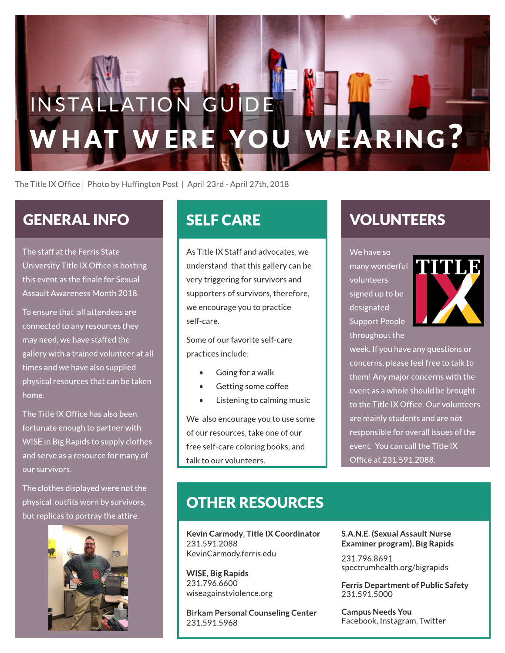# WERE YOU WEARING? INSTALLATION GUIDE

The Title IX Office | Photo by Huffington Post | April 23rd - April 27th, 2018

# GENERAL INFO

The staff at the Ferris State University Title IX Office is hosting this event as the finale for Sexual Assault Awareness Month 2018.

To ensure that all attendees are connected to any resources they may need, we have staffed the gallery with a trained volunteer at all times and we have also supplied physical resources that can be taken home.

The Title IX Office has also been fortunate enough to partner with WISE in Big Rapids to supply clothes and serve as a resource for many of our survivors.

The clothes displayed were not the physical outfits worn by survivors, but replicas to portray the attire.



As Title IX Staff and advocates, we understand that thisgallery canbe very triggering for survivors and supporters of survivors, therefore, we encourage you to practice self-care.

Some of our favorite self-care practices include:

- Going for a walk
- Getting some coffee
- Listening to calming music

We also encourage you to use some of our resources, take one of our free self-care coloring books, and talk to our volunteers.

# SELFCARE VOLUNTEERS

We have so

many wonderful volunteers signed up to be designated Support People throughout the



week. If you have any questions or concerns, please feel free to talk to them! Any major concerns with the event as a whole should be brought to the Title IX Office. Our volunteers are mainly students and are not responsible for overall issues of the event. You can call the Title IX Officeat 231.591.2088.

### **OTHER RESOURCES**

Kevin Carmody, Title IX Coordinator 231.591.2088 KevinCarmody.ferris.edu

WISE, Big Rapids 231.796.6600 wiseagainstviolence.org

Birkam Personal Counseling Center 231.591.5968

S.A.N.E.(Sexual Assault Nurse Examiner program), Big Rapids

231.796.8691 spectrumhealth.org/bigrapids

Ferris Department of Public Safety 231.591.5000

**Campus Needs You** Facebook, Instagram, Twitter